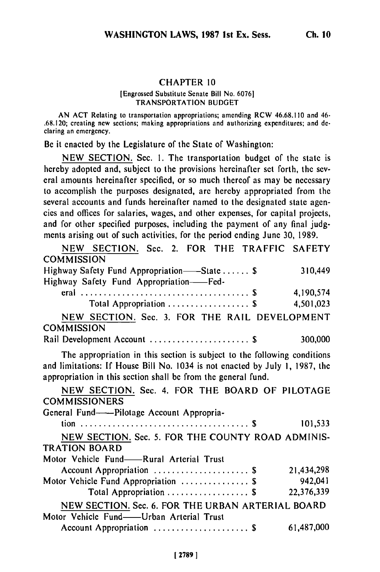### **CHAPTER 10**

### [Engrossed Substitute Senate Bill No. **6076]** TRANSPORTATION BUDGET

AN ACT Relating to transportation appropriations; amending RCW 46.68.1 **10** and 46- .68.120; creating new sections; making appropriations and authorizing expenditures; and declaring an emergency.

Be it enacted by the Legislature of the State of Washington:

NEW SECTION. Sec. I. The transportation budget of the state is hereby adopted and, subject to the provisions hereinafter set forth, the several amounts hereinafter specified, or so much thereof as may **be** necessary to accomplish the purposes designated, **are** hereby appropriated from the several accounts and funds hereinafter named to the designated state agencies and offices for salaries, wages, and other expenses, for capital projects, and for other specified purposes, including the payment of any final judgments arising out of such activities, for the period ending June **30,** 1989.

| NEW SECTION. Sec. 2. FOR THE TRAFFIC SAFETY                                                                                                             |
|---------------------------------------------------------------------------------------------------------------------------------------------------------|
|                                                                                                                                                         |
| 310,449                                                                                                                                                 |
|                                                                                                                                                         |
| 4,190,574                                                                                                                                               |
| 4,501,023                                                                                                                                               |
| NEW SECTION. Sec. 3. FOR THE RAIL DEVELOPMENT                                                                                                           |
| 300,000                                                                                                                                                 |
|                                                                                                                                                         |
| The appropriation in this section is subject to the following conditions<br>and limitations: If House Bill No. 1034 is not enacted by July 1, 1987, the |
| NEW SECTION. Sec. 4. FOR THE BOARD OF PILOTAGE                                                                                                          |
|                                                                                                                                                         |
|                                                                                                                                                         |
| 101,533                                                                                                                                                 |
| NEW SECTION. Sec. 5. FOR THE COUNTY ROAD ADMINIS-                                                                                                       |
|                                                                                                                                                         |
|                                                                                                                                                         |
| 21,434,298                                                                                                                                              |
| 942,041                                                                                                                                                 |
| 22,376,339                                                                                                                                              |
| NEW SECTION. Sec. 6. FOR THE URBAN ARTERIAL BOARD                                                                                                       |
|                                                                                                                                                         |
| 61,487,000                                                                                                                                              |
|                                                                                                                                                         |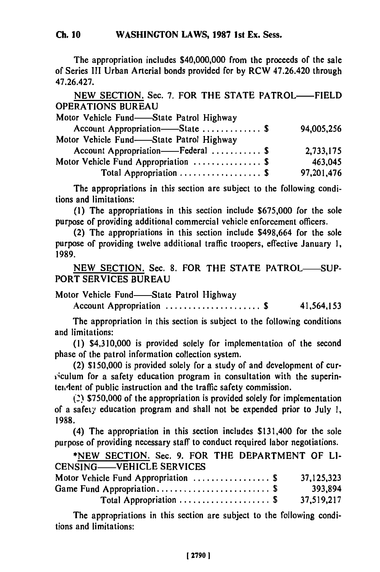The appropriation includes \$40,000,000 from the proceeds of the sale of Series **III** Urban Arterial bonds provided for **by** RCW 47.26.420 through 47.26.427.

**NEW SECTION.** Sec. **7.** FOR THE **STATE** PATROL-FIELD **OPERATIONS BUREAU**

| Motor Vehicle Fund—State Patrol Highway |            |
|-----------------------------------------|------------|
| Account Appropriation—State  \$         | 94,005,256 |
| Motor Vehicle Fund-State Patrol Highway |            |
| Account Appropriation——Federal  \$      | 2,733,175  |
| Motor Vehicle Fund Appropriation  \$    | 463,045    |
| Total Appropriation  \$                 | 97,201,476 |
|                                         |            |

The appropriations in this section are subject to the following conditions and limitations:

**(1)** The appropriations in this section include \$675,000 for the sole purpose of providing additional commercial vehicle enforcement officers.

(2) The appropriations in this section include \$498,664 for the sole purpose of providing twelve additional traffic troopers, effective January **1, 1989.**

**NEW** SECTION. Sec. **8.** FOR THE STATE PATROL-SUP-PORT **SERVICES** BUREAU

Motor Vehicle Fund-State Patrol Highway

Account Appropriation ..................... **\$** 41,564,153

The appropriation in this section is subject to the following conditions and limitations:

(I) \$4,310,000 is provided solely for implementation of the second phase of the patrol information collection system.

(2) \$150,000 is provided solely for a study of and development of cur- 'culum for a safety education program in consultation with the superintendent of public instruction and the traffic safety commission.

*(2)* \$750,000 of the appropriation is provided solely for implementation of a safety education program and shall not be expended prior to July **1, 1988.**

(4) The appropriation in this section includes \$131,400 for the sole purpose of providing necessary staff to conduct required labor negotiations.

**\*NEW** SECTION. Sec. **9.** FOR THE DEPARTMENT OF **LI-**CENSING-VEHICLE SERVICES

| $C1$ $C2$ $C3$ $C4$ $C5$ $C6$ $C7$ $C8$ $C9$                |            |
|-------------------------------------------------------------|------------|
| Motor Vehicle Fund Appropriation  \$                        | 37,125,323 |
|                                                             | 393,894    |
| Total Appropriation $\ldots \ldots \ldots \ldots \ldots$ \$ | 37,519,217 |

The appropriations in this section are subject to the following conditions and limitations: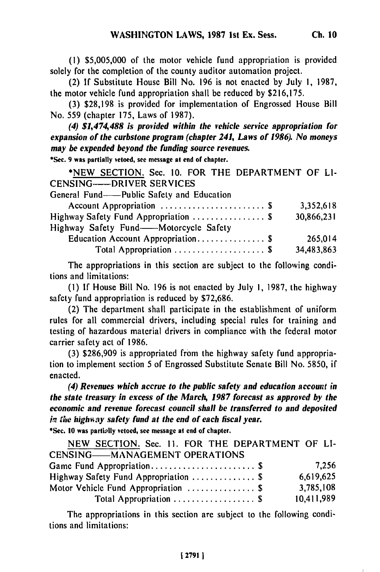**(1)** \$5,005,000 of the motor vehicle fund appropriation is provided solely for the completion of the county auditor automation project.

(2) If Substitute House Bill No. 196 is not enacted **by** July **1,** 1987, the motor vehicle fund appropriation shall be reduced **by** \$216,175.

**(3) \$28,198** is provided for implementation of Engrossed House Bill No. 559 (chapter 175, Laws of 1987).

*(4) \$1,474,488 is provided within the vehicle service appropriation for expansion of the curbstone program (chapter 241, Laws of 1986). No moneys may be expended beyond the funding source revenues.*

**\*Sec. 9 was partially vetoed, see message at end of chapter.**

\*NEW SECTION. Sec. 10. FOR THE DEPARTMENT OF LI-CENSING---- DRIVER SERVICES

General Fund----Public Safety and Education

| Account Appropriation  \$             | 3,352,618  |
|---------------------------------------|------------|
| Highway Safety Fund Appropriation  \$ | 30,866,231 |
| Highway Safety Fund-Motorcycle Safety |            |
| Education Account Appropriation \$    | 265.014    |
| Total Appropriation \$                | 34,483,863 |
|                                       |            |

The appropriations in this section are subject to the following conditions and limitations:

*(1)* If House Bill No. 196 is not enacted by July **1,** 1987, the highway safety fund appropriation is reduced by \$72,686.

(2) The department shall participate in the establishment of uniform rules for all commercial drivers, including special rules for training and testing of hazardous material drivers in compliance with the federal motor carrier safety act of 1986.

(3) \$286,909 is appropriated from the highway safety fund appropriation to implement section 5 of Engrossed Substitute Senate Bill No. 5850, if enacted.

*(4) Revenues which accrue to the public safety and education account in the state treasury in excess of the March, 1987 forecast as approved by the economic and revenue forecast council shall be transferred to and deposited in the highway safety fund at the end of each fiscal year.* 

**\*Sec. 10 was partilly vetoed, see message at end of chapter.**

**NEW SECTION.** Sec. **II.** FOR THE DEPARTMENT OF **LI-CENSING-MANAGEMENT OPERATIONS** Game Fund Appropriation ....................... \$ 7,256 Highway Safety Fund Appropriation .................. \$ 6,619,625 Motor Vehicle Fund Appropriation ..................\$ 3,785,108 Total Appropriation ..........................\$ 10,411,989

The appropriations in this section are subject to the following conditions and limitations: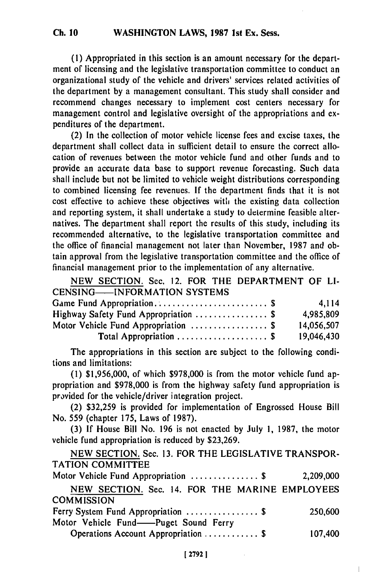**(1)** Appropriated in this section is an amount necessary for the department of licensing and the legislative transportation committee to conduct an organizational study of the vehicle and drivers' services related activities of the department **by** a management consultant. This study shall consider and recommend changes necessary to implement cost centers necessary for management control and legislative oversight of the appropriations and expenditures of the department.

(2) In the collection of motor vehicle license fees and excise taxes, the department shall collect data in sufficient detail to ensure the correct allocation of revenues between the motor vehicle fund and other funds and to provide an accurate data base to support revenue forecasting. Such data shall include but not be limited to vehicle weight distributions corresponding to combined licensing fee revenues. **If** the department finds that it is not cost effective to achieve these objectives witlh the existing data collection and reporting system, it shall undertake a study to determine feasible alternatives. The department shall report the results of this study, including its recommended alternative, to the legislative transportation committee and the office of financial management not later than November, **1987** and obtain approval from the legislative transportation committee and the office of financial management prior to the implementation of any alternative.

| NEW SECTION. Sec. 12. FOR THE DEPARTMENT OF LI- |            |
|-------------------------------------------------|------------|
| <b>CENSING——INFORMATION SYSTEMS</b>             |            |
|                                                 | 4.114      |
| Highway Safety Fund Appropriation  \$           | 4,985,809  |
| Motor Vehicle Fund Appropriation  \$            | 14,056,507 |
| Total Appropriation  \$                         | 19,046,430 |

The appropriations in this section are subject to the following conditions and limitations:

(1) \$1,956,000, of which \$978,000 is from the motor vehicle fund appropriation and \$978,000 is from the highway safety fund appropriation is provided for the vehicle/driver integration project.

(2) \$32,259 is provided for implementation of Engrossed House Bill No. 559 (chapter 175, Laws of 1987).

(3) If House Bill No. 196 is not enacted by July **1,** 1987, the motor vehicle fund appropriation is reduced by \$23,269.

NEW SECTION. Sec. 13. FOR THE LEGISLATIVE TRANSPOR-TATION COMMITTEE Motor Vehicle Fund Appropriation ............... **\$ 2,209,000 NEW** SECTION. Sec. 14. FOR THE MARINE EMPLOYEES **COMMISSION**

| Ferry System Fund Appropriation  \$   | 250,600 |
|---------------------------------------|---------|
| Motor Vehicle Fund——Puget Sound Ferry |         |
| Operations Account Appropriation  \$  | 107,400 |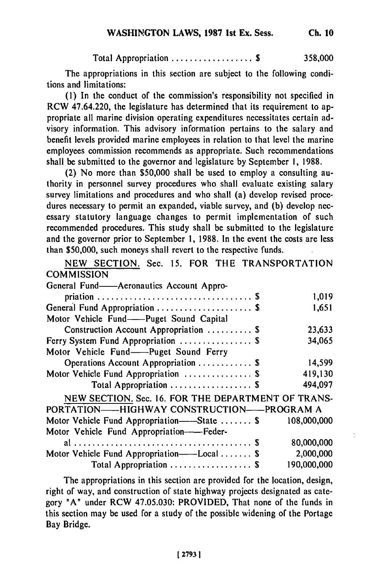Total Appropriation .................. **\$ 358,000**

The appropriations in this section are subject to the following conditions and limitations:

**(1)** In the conduct of the commission's responsibility not specified in RCW 47.64.220, the legislature has determined that its requirement to appropriate all marine division operating expenditures necessitates certain advisory information. This advisory information pertains to the salary and benefit levels provided marine employees in relation to that level the marine employees commission recommends as appropriate. Such recommendations shall be submitted to the governor and legislature by September I, 1988.

(2) No more than \$50,000 shall be used to employ a consulting authority in personnel survey procedures who shall evaluate existing salary survey limitations and procedures and who shall (a) develop revised procedures necessary to permit an expanded, viable survey, and (b) develop necessary statutory language changes to permit implementation of such recommended procedures. This study shall be submitted to the legislature and the governor prior to September 1, 1988. In the event the costs are less than \$50,000, such moneys shall revert to the respective funds.

NEW SECTION. Sec. 15. FOR THE TRANSPORTATION **COMMISSION** 

| ~~~~~~~~~~~                                             |             |
|---------------------------------------------------------|-------------|
| General Fund——Aeronautics Account Appro-                |             |
|                                                         | 1,019       |
| General Fund Appropriation  \$                          | 1,651       |
| Motor Vehicle Fund--Puget Sound Capital                 |             |
| Construction Account Appropriation  \$                  | 23,633      |
| Ferry System Fund Appropriation  \$                     | 34,065      |
| Motor Vehicle Fund-Puget Sound Ferry                    |             |
| Operations Account Appropriation  \$                    | 14,599      |
| Motor Vehicle Fund Appropriation  \$                    | 419,130     |
| Total Appropriation  \$                                 | 494,097     |
| NEW SECTION. Sec. 16. FOR THE DEPARTMENT OF TRANS-      |             |
| PORTATION——HIGHWAY CONSTRUCTION——PROGRAM A              |             |
| Motor Vehicle Fund Appropriation——State  \$ 108,000,000 |             |
| Motor Vehicle Fund Appropriation----Feder-              |             |
|                                                         | 80,000,000  |
| Motor Vehicle Fund Appropriation——Local  \$             | 2,000,000   |
| Total Appropriation  \$                                 | 190,000,000 |
|                                                         |             |

 $\ddot{\cdot}$ 

The appropriations in this section are provided for the location, design, right of way, and construction of state highway projects designated as category "A" under RCW 47.05.030: PROVIDED, That none of the funds in this section may be used for a study of the possible widening of the Portage Bay Bridge.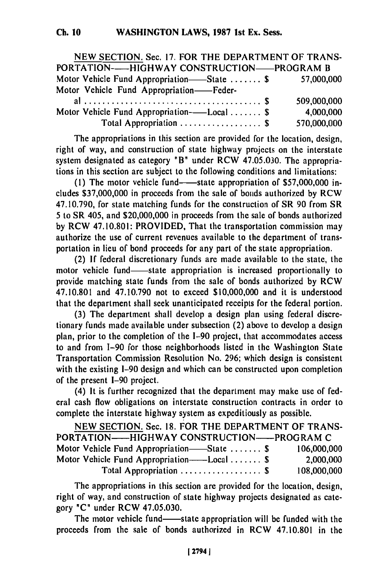| NEW SECTION. Sec. 17. FOR THE DEPARTMENT OF TRANS-    |             |
|-------------------------------------------------------|-------------|
| PORTATION——HIGHWAY CONSTRUCTION——PROGRAM B            |             |
| Motor Vehicle Fund Appropriation—State  \$ 57,000,000 |             |
| Motor Vehicle Fund Appropriation-Feder-               |             |
|                                                       | 509,000,000 |
| Motor Vehicle Fund Appropriation——Local  \$           | 4,000,000   |
| Total Appropriation  \$                               | 570,000,000 |

The appropriations in this section are provided for the location, design, right of way, and construction of state highway projects on the interstate system designated as category "B" under RCW 47.05.030. The appropriations in this section are subject to the following conditions and limitations:

(1) The motor vehicle fund—state appropriation of \$57,000,000 includes \$37,000,000 in proceeds from the sale of bonds authorized by RCW 47.10.790, for state matching funds for the construction of SR 90 from SR 5 to SR 405, and \$20,000,000 in proceeds from the sale of bonds authorized by RCW 47.10.801: PROVIDED, That the transportation commission may authorize the use of current revenues available to the department of transportation in lieu of bond proceeds for any part of the state appropriation.

(2) If federal discretionary funds are made available to the state, the motor vehicle fund—state appropriation is increased proportionally to provide matching state funds from the sale of bonds authorized by RCW 47.10.801 and 47.10.790 not to exceed \$10,000,000 and it is understood that the department shall seek unanticipated receipts for the federal portion.

(3) The department shall develop a design plan using federal discretionary funds made available under subsection (2) above to develop a design plan, prior to the completion of the 1-90 project, that accommodates access to and from 1-90 for those neighborhoods listed in the Washington State Transportation Commission Resolution No. 296; which design is consistent with the existing I-90 design and which can be constructed upon completion of the present 1-90 project.

(4) It is further recognized that the department may make use of federal cash flow obligations on interstate construction contracts in order to complete the interstate highway system as expeditiously as possible.

| NEW SECTION. Sec. 18. FOR THE DEPARTMENT OF TRANS- |             |
|----------------------------------------------------|-------------|
| PORTATION——HIGHWAY CONSTRUCTION——PROGRAM C         |             |
| Motor Vehicle Fund Appropriation—State  \$         | 106,000,000 |
| Motor Vehicle Fund Appropriation——Local  \$        | 2,000,000   |
| Total Appropriation  \$                            | 108,000,000 |
|                                                    |             |

The appropriations in this section are provided for the location, design, right of way, and construction of state highway projects designated as category **"C"** under RCW 47.05.030.

The motor vehicle fund—state appropriation will be funded with the proceeds from the sale of bonds authorized in RCW 47.10.801 in the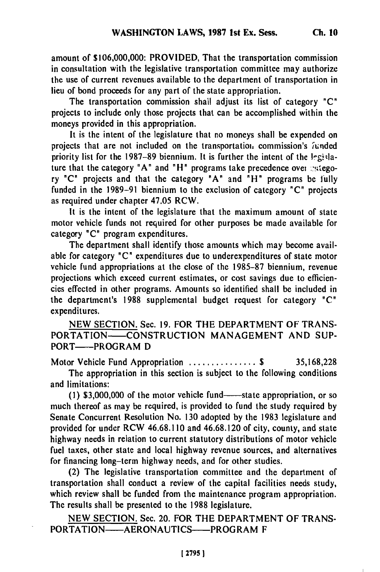**Ch. 10**

amount of **\$106,000,000:** PROVIDED, That the transportation commission in consultation with the legislative transportation committee may authorize the use of current revenues available to the department of transportation in lieu of bond proceeds for any part of the state appropriation.

The transportation commission shall adjust its list of category **"C"** projects to include only those projects that can be accomplished within the moneys provided in this appropriation.

It is the intent of the legislature that no moneys shall **be** expended on projects that **are** not included on the transportatioi, commission's 7unded priority list for the 1987-89 biennium. It is further the intent of the legislature that the category "A" and "H" programs take precedence over extegory "C" projects and that the category "A" and "H" programs be fully funded in the 1989-91 biennium to the exclusion of category "C" projects as required under chapter 47.05 RCW.

It is the intent of the legislature that the maximum amount of state motor vehicle funds not required for other purposes be made available for category "C" program expenditures.

The department shall identify those amounts which may become available for category "C" expenditures due to underexpenditures of state motor vehicle fund appropriations at the close of the 1985-87 biennium, revenue projections which exceed current estimates, or cost savings due to efficiencies effected in other programs. Amounts so identified shall be included in the department's 1988 supplemental budget request for category "C" expenditures.

NEW SECTION. Sec. 19. FOR THE DEPARTMENT OF TRANS-PORTATION-CONSTRUCTION MANAGEMENT AND SUP-PORT-PROGRAM D

Motor Vehicle Fund Appropriation ............... \$ 35,168,228 The appropriation in this section is subject to the following conditions and limitations:

(1) \$3,000,000 of the motor vehicle fund—state appropriation, or so much thereof as may be required, is provided to fund the study required by Senate Concurrent Resolution No. 130 adopted by the 1983 legislature and provided for under RCW 46.68.110 and 46.68.120 of city, county, and state highway needs in relation to current statutory distributions of motor vehicle fuel taxes, other state and local highway revenue sources, and alternatives for financing long-term highway needs, and for other studies.

(2) The legislative transportation committee and the department of transportation shall conduct a review of the capital facilities needs study, which review shall be funded from the maintenance program appropriation. The results shall be presented to the 1988 legislature.

NEW SECTION. Sec. 20. FOR THE DEPARTMENT OF TRANS-PORTATION-AERONAUTICS-PROGRAM F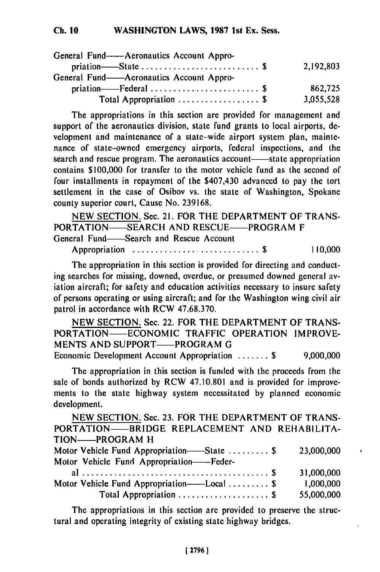#### **WASHINGTON LAWS, 1987 Ist Ex. Sess. Ch. 10**

| General Fund——Aeronautics Account Appro- |           |
|------------------------------------------|-----------|
|                                          | 2,192,803 |
| General Fund——Aeronautics Account Appro- |           |
|                                          | 862.725   |
| Total Appropriation  \$                  | 3,055,528 |

The appropriations in this section are provided for management and support of the aeronautics division, state fund grants to local airports, development and maintenance of a state-wide airport system plan, maintenance of state-owned emergency airports, federal inspections, and the search and rescue program. The aeronautics account—state appropriation contains \$100,000 for transfer to the motor vehicle fund as the second of four installments in repayment of the \$407,430 advanced to pay the tort settlement in the case of Osibov vs. the state of Washington, Spokane county superior court, Cause No. 239168.

NEW SECTION. Sec. 21. FOR THE DEPARTMENT OF TRANS-PORTATION-SEARCH AND RESCUE-PROGRAM F General Fund-Search and Rescue Account

Appropriation ............................ **\$** 110,000

The appropriation in this section is provided for directing and conducting searches for missing, downed, overdue, or presumed downed general aviation aircraft; for safety and education activities necessary to insure safety of persons operating or using aircraft; and for the Washington wing civil air patrol in accordance with RCW 47.68.370.

NEW SECTION. Sec. 22. FOR THE DEPARTMENT OF TRANS-PORTATION-ECONOMIC TRAFFIC OPERATION IMPROVE-MENTS AND SUPPORT—PROGRAM G Economic Development Account Appropriation ....... **\$** 9,000,000

The appropriation in this section is funded with the proceeds from the sale of bonds authorized **by** RCW **47.10.801** and is provided for improvements to the state highway system necessitated **by** planned economic development.

**NEW SECTION.** Sec. **23.** FOR THE DEPARTMENT OF **TRANS-**PORTATION- BRIDGE REPLACEMENT **AND** REHABILITA-TION-PROGRAM H

r.

| Motor Vehicle Fund Appropriation—State  \$<br>Motor Vehicle Fund Appropriation——Feder- | 23,000,000              |
|----------------------------------------------------------------------------------------|-------------------------|
|                                                                                        | 31,000,000              |
| Motor Vehicle Fund Appropriation——Local  \$                                            | 1,000,000<br>55,000,000 |

The appropriations in this section are provided to preserve the structural and operating integrity of existing state highway bridges.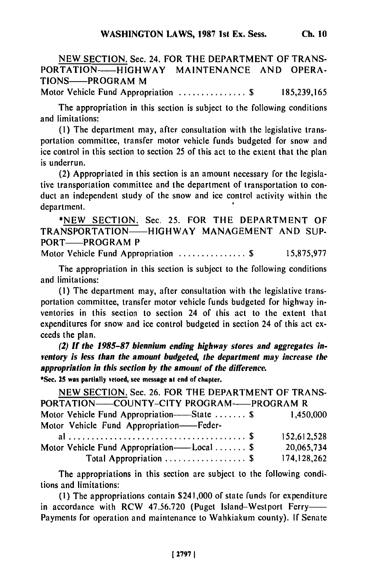NEW **SECTION.** Sec. 24. FOR THE DEPARTMENT OF TRANS-PORTATION-HIGHWAY MAINTENANCE AND OPERA-TIONS-PROGRAM M

Motor Vehicle Fund Appropriation .................\$ 185,239,165

The appropriation in this section is subject to the following conditions and limitations:

**(1)** The department may, after consultation with the legislative transportation committee, transfer motor vehicle funds budgeted for snow and ice control in this section to section 25 of this act to the extent that the plan is underrun.

(2) Appropriated in this section is an amount necessary for the legislative transportation committee and the department of transportation to conduct an independent study of the snow and ice control activity within the department.

\*NEW SECTION. Sec. 25. FOR THE DEPARTMENT OF TRANSPORTATION-HIGHWAY MANAGEMENT AND SUP-PORT-PROGRAM P

Motor Vehicle Fund Appropriation .......................\$ 15,875,977

The appropriation in this section is subject to the following conditions and limitations:

**(I)** The department may, after consultation with the legislative transportation committee, transfer motor vehicle funds budgeted for highway inventories in this section to section 24 of this act to the extent that expenditures for snow and ice control budgeted in section 24 of this act exceeds the plan.

*(2) If the 1985-87* **biennium ending highway** *stores* **and** aggregates **in***ventory is less than the amount budgeted, the department may increase the appropriation in this section by the amount of the difference.*

**\*Sec. 25 was partially vetoed, see message at end of chapter.**

| NEW SECTION. Sec. 26. FOR THE DEPARTMENT OF TRANS-    |               |
|-------------------------------------------------------|---------------|
| PORTATION-COUNTY-CITY PROGRAM-PROGRAM R               |               |
| Motor Vehicle Fund Appropriation——State  \$ 1,450,000 |               |
| Motor Vehicle Fund Appropriation-Feder-               |               |
|                                                       | 152,612,528   |
| Motor Vehicle Fund Appropriation——Local  \$           | 20,065,734    |
| Total Appropriation  \$                               | 174, 128, 262 |

The appropriations in this section are subject to the following conditions and limitations:

(I) The appropriations contain \$241,000 of state funds for expenditure in accordance with RCW 47.56.720 (Puget Island-Westport Ferry-Payments for operation and maintenance to Wahkiakum county). If Senate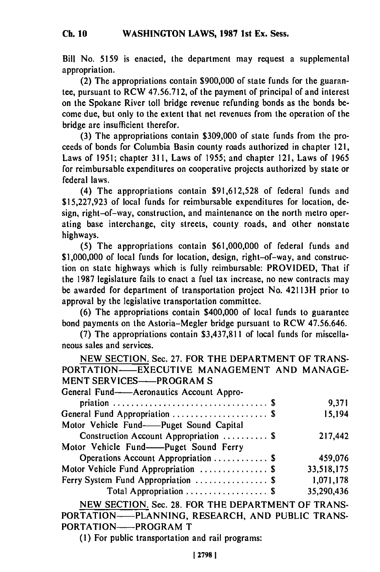Bill No. 5159 is enacted, the department may request a supplemental appropriation.

(2) The appropriations contain \$900,000 of state funds for the guarantee, pursuant to RCW 47.56.712, of the payment of principal of and interest on the Spokane River toll bridge revenue refunding bonds as the bonds become due, but only to the extent that net revenues from the operation of the bridge are insufficient therefor.

(3) The appropriations contain \$309,000 of state funds from the proceeds of bonds for Columbia Basin county roads authorized in chapter 121, Laws of 1951; chapter 311, Laws of 1955; and chapter 121, Laws of 1965 for reimbursable expenditures on cooperative projects authorized by state or federal laws.

(4) The appropriations contain \$91,612,528 of federal funds and \$15,227,923 of local funds for reimbursable expenditures for location, design, right-of-way, construction, and maintenance on the north metro operating base interchange, city streets, county roads, and other nonstate highways.

(5) The appropriations contain \$61,000,000 of federal funds and \$1,000,000 of local funds for location, design, right-of-way, and construction on state highways which is fully reimbursable: PROVIDED, That if the 1987 legislature fails to enact a fuel tax increase, no new contracts may be awarded for department of transportation project No. 42113H prior to approval by the legislative transportation committee.

(6) The appropriations contain \$400,000 of local funds to guarantee bond payments on the Astoria-Megler bridge pursuant to RCW 47.56.646.

(7) The appropriations contain \$3,437,811 of local funds for miscellaneous sales and services.

NEW SECTION. Sec. 27. FOR THE DEPARTMENT OF TRANS-PORTATION-EXECUTIVE MANAGEMENT AND MANAGE-MENT SERVICES-PROGRAM S

| General Fund-Aeronautics Account Appro- |            |
|-----------------------------------------|------------|
|                                         | 9,371      |
| General Fund Appropriation  \$          | 15,194     |
| Motor Vehicle Fund-Puget Sound Capital  |            |
| Construction Account Appropriation  \$  | 217,442    |
| Motor Vehicle Fund——Puget Sound Ferry   |            |
| Operations Account Appropriation  \$    | 459,076    |
| Motor Vehicle Fund Appropriation  \$    | 33,518,175 |
| Ferry System Fund Appropriation  \$     | 1,071,178  |
| Total Appropriation  \$                 | 35,290,436 |
|                                         |            |

NEW SECTION. Sec. 28. FOR THE DEPARTMENT OF TRANS-PORTATION-PLANNING, RESEARCH, AND PUBLIC TRANS-PORTATION-PROGRAM T

(1) For public transportation and rail programs: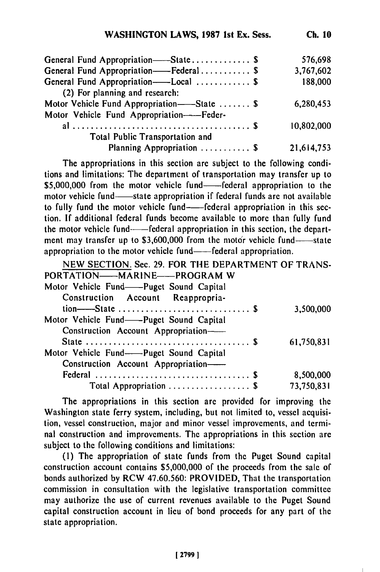| General Fund Appropriation——State\$         | 576,698    |
|---------------------------------------------|------------|
| General Fund Appropriation-Federal \$       | 3,767,602  |
| General Fund Appropriation——Local  \$       | 188,000    |
| (2) For planning and research:              |            |
| Motor Vehicle Fund Appropriation——State  \$ | 6,280,453  |
| Motor Vehicle Fund Appropriation-Feder-     |            |
|                                             | 10,802,000 |
| Total Public Transportation and             |            |
| Planning Appropriation  \$                  | 21,614,753 |

The appropriations in this section are subject to the following conditions and limitations: The department of transportation may transfer up to \$5,000,000 from the motor vehicle fund-federal appropriation to the motor vehicle fund-state appropriation if federal funds are not available to fully fund the motor vehicle fund--federal appropriation in this section. **If** additional federal funds become available to more than fully fund the motor vehicle fund-----federal appropriation in this section, the department may transfer up to \$3,600,000 from the motor vehicle fund-state appropriation to the motor vehicle fund— federal appropriation.

| NEW SECTION. Sec. 29. FOR THE DEPARTMENT OF TRANS- |            |
|----------------------------------------------------|------------|
| PORTATION-MARINE-PROGRAM W                         |            |
| Motor Vehicle Fund——Puget Sound Capital            |            |
| Construction Account Reappropria-                  |            |
|                                                    | 3,500,000  |
| Motor Vehicle Fund——Puget Sound Capital            |            |
| Construction Account Appropriation-                |            |
|                                                    | 61,750,831 |
| Motor Vehicle Fund--Puget Sound Capital            |            |
| Construction Account Appropriation-                |            |
|                                                    | 8,500,000  |
| Total Appropriation  \$                            | 73,750,831 |
|                                                    |            |

The appropriations in this section are provided for improving the Washington state ferry system, including, but not limited to, vessel acquisition, vessel construction, major and minor vessel improvements, and terminal construction and improvements. The appropriations in this section are subject to the following conditions and limitations:

**(1)** The appropriation of state funds from the Puget Sound capital construction account contains **\$5,000,000** of the proceeds from the sale of bonds authorized **by** RCW **47.60.560:** PROVIDED, That the transportation commission in consultation with the legislative transportation committee may authorize the use of current revenues available to the Puget Sound capital construction account in lieu of bond proceeds for any part of the state appropriation.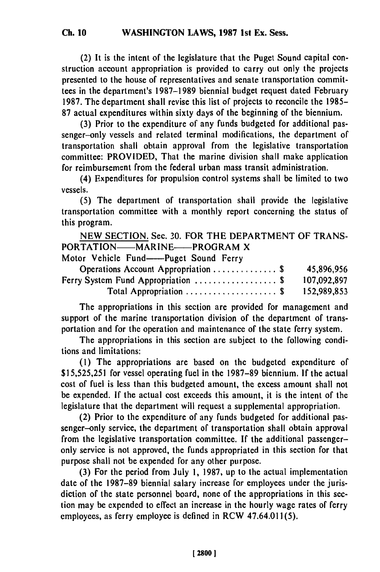(2) It is the intent of the legislature that the Puget Sound capital construction account appropriation is provided to carry out only the projects presented to the house of representatives and senate transportation committees in the department's 1987-1989 biennial budget request dated February 1987. The department shall revise this list of projects to reconcile the 1985- 87 actual expenditures within sixty days of the beginning of the biennium.

(3) Prior to the expenditure of any funds budgeted for additional passenger-only vessels and related terminal modifications, the department of transportation shall obtain approval from the legislative transportation committee: PROVIDED, That the marine division shall make application for reimbursement from the federal urban mass transit administration.

(4) Expenditures for propulsion control systems shall be limited to two vessels.

(5) The department of transportation shall provide the legislative transportation committee with a monthly report concerning the status of this program.

NEW SECTION. Sec. 30. FOR THE DEPARTMENT OF TRANS-PORTATION-MARINE-PROGRAM X

Motor Vehicle Fund--Puget Sound Ferry

| Operations Account Appropriation  \$        | 45,896,956  |
|---------------------------------------------|-------------|
| Ferry System Fund Appropriation $\ldots$ \$ | 107,092,897 |
| Total Appropriation  \$                     | 152,989,853 |

The appropriations in this section are provided for management and support of the marine transportation division of the department of transportation and for the operation and maintenance of the state ferry system.

The appropriations in this section are subject to the following conditions and limitations:

(1) The appropriations are based on the budgeted expenditure of \$15,525,251 for vessel operating fuel in the 1987-89 biennium. **If** the actual cost of fuel is less than this budgeted amount, the excess amount shall not be expended. If the actual cost exceeds this amount, it is the intent of the legislature that the department will request a supplemental appropriation.

(2) Prior to the expenditure of any funds budgeted for additional passenger-only service, the department of transportation shall obtain approval from the legislative transportation committee. If the additional passengeronly service is not approved, the funds appropriated in this section for that purpose shall not be expended for any other purpose.

(3) For the period from July 1, 1987, up to the actual implementation date of the 1987-89 biennial salary increase for employees under the jurisdiction of the state personnel board, none of the appropriations in this section may be expended to effect an increase in the hourly wage rates of ferry employees, as ferry employee is defined in RCW 47.64.011(5).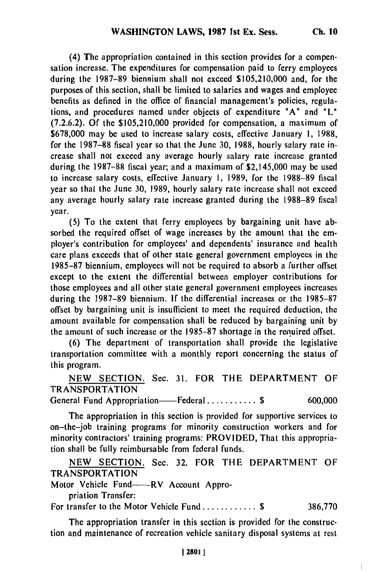(4) The appropriation contained in this section provides for a compensation increase. The expenditures for compensation paid to ferry employees during the 1987-89 biennium shall not exceed \$105,210,000 and, for the purposes of this section, shall be limited to salaries and wages and employee benefits as defined in the office of financial management's policies, regulations, and procedures named under objects of expenditure **"A"** and "L" (7.2.6.2). **Of** the \$105,210,000 provided for compensation, a maximum of \$678,000 may be used to increase salary costs, effective January **1,** 1988, for the 1987-88 fiscal year so that the June **30,** 1988, hourly salary rate increase shall not exceed any average hourly salary rate increase granted during the 1987-88 fiscal year; and a maximum of \$2,145,000 may be used to increase salary costs, effective January **1,** 1989, for the 1988-89 fiscal year so that the June 30, 1989, hourly salary rate increase shall not exceed any average hourly salary rate increase granted during the 1988-89 fiscal year.

(5) To the extent that ferry employees by bargaining unit have absorbed the required offset of wage increases by the amount that the employer's contribution for employees' and dependents' insurance and health care plans exceeds that of other state general government employees in the 1985-87 biennium, employees will not be required to absorb a further offset except to the extent the differential between employer contributions for those employees and all other state general government employees increases during the 1987-89 biennium. If the differential increases or the 1985-87 offset by bargaining unit is insufficient to meet the required deduction, the amount available for compensation shall be reduced by bargaining unit by the amount of such increase or the 1985-87 shortage in the required offset.

**(6)** The department of transportation shall provide the legislative transportation committee with a monthly report concerning the status of this program.

NEW SECTION. Sec. 31. FOR THE DEPARTMENT OF TRANSPORTATION

General Fund Appropriation——Federal .............. \$ 600,000

The appropriation in this section is provided for supportive services to on-the-job training programs for minority construction workers and for minority contractors' training programs: PROVIDED, That this appropriation shall be fully reimbursable from federal funds.

NEW SECTION. Sec. 32. FOR TIHE DEPARTMENT OF TRANSPORTATION

Motor Vehicle Fund-----RV Account Appro-

priation Transfer:

For transfer to the Motor Vehicle Fund ............ **\$** 386,770

The appropriation transfer in this section is provided for the construction and maintenance of recreation vehicle sanitary disposal systems at rest

 $\overline{\phantom{a}}$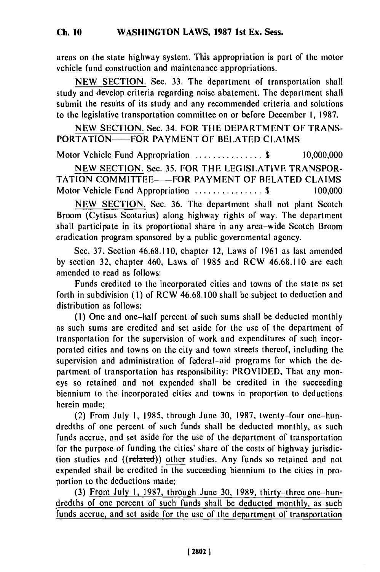areas on the state highway system. This appropriation is part of the motor vehicle fund construction and maintenance appropriations.

NEW SECTION. Sec. 33. The department of transportation shall study and develop criteria regarding noise abatement. The department shall submit the results of its study and any recommended criteria and solutions to the legislative transportation committee on or before December I, 1987.

NEW SECTION. Sec. 34. FOR THE DEPARTMENT OF TRANS-PORTATION——FOR PAYMENT OF BELATED CLAIMS

Motor Vehicle Fund Appropriation .....................\$ 10,000,000

NEW SECTION. Sec. 35. FOR THE LEGISLATIVE TRANSPOR-TATION COMMITTEE——FOR PAYMENT OF BELATED CLAIMS Motor Vehicle Fund Appropriation .......................\$ 100,000

NEW SECTION. Sec. 36. The department shall not plant Scotch Broom (Cytisus Scotarius) along highway rights of way. The department shall participate in its proportional share in any area-wide Scotch Broom eradication program sponsored by a public governmental agency.

Sec. 37. Section 46.68.110, chapter 12, Laws of 1961 as last amended by section 32, chapter 460, Laws of 1985 and RCW 46.68.110 are each amended to read as follows:

Funds credited to the incorporated cities and towns of the state as set forth in subdivision (i) of RCW 46.68.100 shall be subject to deduction and distribution as follows:

**(1)** One and one-half percent of such sums shall be deducted monthly as such sums are credited and set aside for the use of the department of transportation for the supervision of work and expenditures of such incorporated cities and towns on the city and town streets thereof, including the supervision and administration of federal-aid programs for which the department of transportation has responsibility: PROVIDED, That any moneys so retained and not expended shall be credited in the succeeding biennium to the incorporated cities and towns in proportion to deductions herein made;

(2) From July **1,** 1985, through June 30, 1987, twenty-four one-hundredths of one percent of such funds shall be deducted monthly, as such funds accrue, and set aside for the use of the department of transportation for the purpose of funding the cities' share of the costs of highway jurisdiction studies and ((related)) other studies. Any funds so retained and not expended shall be credited in the succeeding biennium to the cities in proportion to the deductions made;

(3) From July **1,** 1987, through June 30, 1989, thirty-three one-hundredths of one percent of such funds shall be deducted monthly, as such funds accrue, and set aside for the use of the department of transportation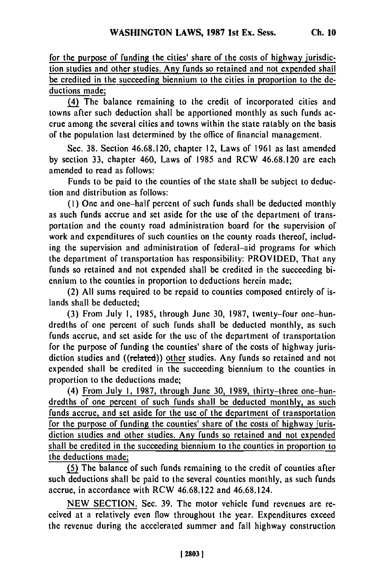for the purpose of funding the cities' share of the costs of highway jurisdiction studies and other studies. Any funds so retained and not expended shall be credited in the succeeding biennium to the cities in proportion to the deductions made;

(4) The balance remaining to the credit of incorporated cities and towns after such deduction shall be apportioned monthly as such funds accrue among the several cities and towns within the state ratably on the basis of the population last determined by the office of financial management.

Sec. 38. Section 46.68.120, chapter 12, Laws of 1961 as last amended by section 33, chapter 460, Laws of 1985 and RCW 46.68.120 are each amended to read as follows:

Funds to be paid to the counties of the state shall be subject to deduction and distribution as follows:

**(1)** One and one-half percent of such funds shall be deducted monthly as such funds accrue and set aside for the use of the department of transportation and the county road administration board for the supervision of work and expenditures of such counties on the county roads thereof, including the supervision and administration of federal-aid programs for which the department of transportation has responsibility: PROVIDED, That any funds so retained and not expended shall be credited in the succeeding biennium to the counties in proportion to deductions herein made;

(2) All sums required to be repaid to counties composed entirely of islands shall be deducted;

(3) From July **1,** 1985, through June 30, 1987, twenty-four one-hundredths of one percent of such funds shall be deducted monthly, as such funds accrue, and set aside for the use of the department of transportation for the purpose of funding the counties' share of the costs of highway jurisdiction studies and ((related)) other studies. Any funds so retained and not expended shall be credited in the succeeding biennium to the counties in proportion to the deductions made;

(4) From July 1, 1987, through June 30, 1989, thirty-three one-hundredths of one percent of such funds shall be deducted monthly, as such funds accrue, and set aside for the use of the department of transportation for the purpose of funding the counties' share of the costs of highway jurisdiction studies and other studies. Any funds so retained and not expended shall be credited in the succeeding biennium to the counties in proportion to the deductions made;

**(5)** The balance of such funds remaining to the credit of counties after such deductions shall be paid to the several counties monthly, as such funds accrue, in accordance with RCW 46.68.122 and 46.68.124.

NEW SECTION. Sec. 39. The motor vehicle fund revenues are received at a relatively even flow throughout the year. Expenditures exceed the revenue during the accelerated summer and fall highway construction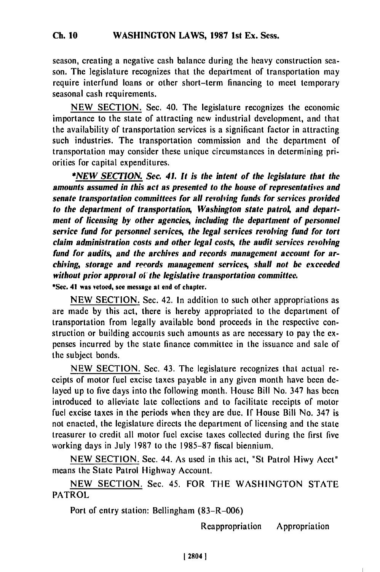season, creating a negative cash balance during the heavy construction season. The legislature recognizes that the department of transportation may require interfund loans or other short-term financing to meet temporary seasonal cash requirements.

NEW SECTION. Sec. 40. The legislature recognizes the economic importance to the state of attracting new industrial development, and that the availability of transportation services is a significant factor in attracting such industries. The transportation commission and the department of transportation may consider these unique circumstances in determining priorities for capital expenditures.

*\*NEW SECTION. Sec. 41. It is the intent of the legislature that the* **amounts** *assumed in this act as presented to the house of representatives and senate transportation committees for all revolving funds for services provided* to the department of transportation, Washington state patrol, and depart*ment of licensing by other agencies, including the department of personnel service fund for personnel services, the legal services revolving fund for tort claim administration costs and other legal costs, the audit services revolving fund for audits, and the archives and records management account for archiving, storage and reords management services, shall not he exceeded without prior approval oi the legislative transportation committee.*

**\*Sec. 41 was vetoed, see message at end of chapter.**

NEW SECTION. Sec. 42. In addition to such other appropriations as are made by this act, there is hereby appropriated to the department of transportation from legally available bond proceeds in the respective construction or building accounts such amounts as are necessary to pay the expenses incurred by the state finance committee in the issuance and sale of the subject bonds.

NEW SECTION. Sec. 43. The legislature recognizes that actual receipts of motor fuel excise taxes payable in any given month have been delayed up to five days into the following month. House Bill No. 347 has been introduced to alleviate late collections and to facilitate receipts of motor fuel excise taxes in the periods when they are due. If House Bill No. 347 is not enacted, the legislature directs the department of licensing and the state treasurer to credit all motor fuel excise taxes collected during the first five working days in July 1987 to the 1985-87 fiscal biennium.

NEW SECTION. Sec. 44. As used in this act, "St Patrol Hiwy Acct" means the State Patrol Highway Account.

NEW SECTION. Sec. 45. FOR THE WASHINGTON STATE PATROL

Port of entry station: Bellingham (83-R-006)

Reappropriation Appropriation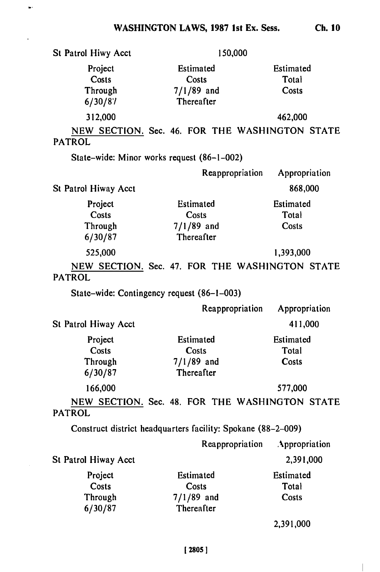$\bullet$ 

J,

**Ch. 10**

 $\begin{array}{c} \hline \end{array}$ 

| St Patrol Hiwy Acct                    | 150,000                                                      |                                                |
|----------------------------------------|--------------------------------------------------------------|------------------------------------------------|
| Project<br>Costs<br>Through<br>6/30/87 | Estimated<br>Costs<br>$7/1/89$ and<br>Thereafter             | Estimated<br>Total<br>Costs                    |
| 312,000                                |                                                              | 462,000                                        |
| <b>PATROL</b>                          |                                                              | NEW SECTION. Sec. 46. FOR THE WASHINGTON STATE |
|                                        | State-wide: Minor works request (86-1-002)                   |                                                |
|                                        | Reappropriation                                              | Appropriation                                  |
| St Patrol Hiway Acct                   |                                                              | 868,000                                        |
| Project<br>Costs<br>Through<br>6/30/87 | Estimated<br>Costs<br>$7/1/89$ and<br>Thereafter             | Estimated<br>Total<br>Costs                    |
| 525,000                                |                                                              | 1,393,000                                      |
| <b>PATROL</b>                          |                                                              | NEW SECTION. Sec. 47. FOR THE WASHINGTON STATE |
|                                        | State-wide: Contingency request (86-1-003)                   |                                                |
|                                        | Reappropriation                                              | Appropriation                                  |
| St Patrol Hiway Acct                   |                                                              | 411,000                                        |
| Project<br>Costs<br>Through<br>6/30/87 | Estimated<br>Costs<br>$7/1/89$ and<br>Thereafter             | Estimated<br>Total<br>Costs                    |
| 166,000                                |                                                              | 577,000                                        |
| <b>PATROL</b>                          |                                                              | NEW SECTION. Sec. 48. FOR THE WASHINGTON STATE |
|                                        | Construct district headquarters facility: Spokane (88-2-009) |                                                |
|                                        |                                                              | Reappropriation Appropriation                  |
| St Patrol Hiway Acct                   |                                                              | 2,391,000                                      |
| Project<br>Costs<br>Through<br>6/30/87 | Estimated<br>Costs<br>$7/1/89$ and<br>Thereafter             | Estimated<br>Total<br>Costs                    |
|                                        |                                                              | 2,391,000                                      |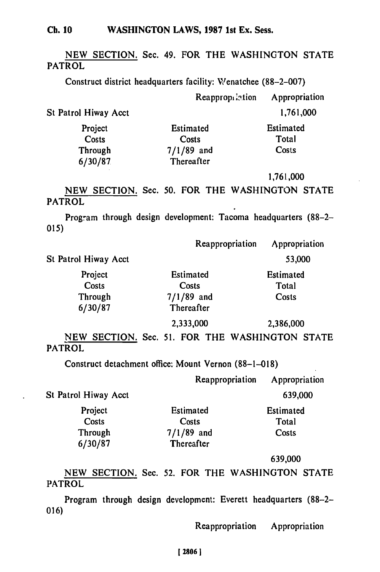## **Ch. 10** WASHINGTON LAWS, **1987** 1st Ex. Sess.

**NEW SECTION.** Sec. 49. FOR THE **WASHINGTON STATE** PATROL

Construct district headquarters facility: Wenatchee **(88-2-007)**

|                      | Reappropriation  | Appropriation |
|----------------------|------------------|---------------|
| St Patrol Hiway Acct |                  | 1,761,000     |
| Project              | <b>Estimated</b> | Estimated     |
| Costs                | Costs            | Total         |
| Through              | $7/1/89$ and     | Costs         |
| 6/30/87              | Thereafter       |               |

**1,761,000**

NEW SECTION. Sec. 50. FOR THE WASHINGTON STATE PATROL

Program through design development: Tacoma headquarters (88-2- **015)**

|                      | Reappropriation | Appropriation |
|----------------------|-----------------|---------------|
| St Patrol Hiway Acct |                 | 53,000        |
| Project              | Estimated       | Estimated     |
| Costs                | Costs           | Total         |
| Through              | $7/1/89$ and    | Costs         |
| 6/30/87              | Thereafter      |               |
|                      | 2,333,000       | 2,386,000     |

**NEW** SECTION. Sec. 51. FOR THE WASHINGTON STATE PATROL

Construct detachment office: Mount Vernon (88-1-018)

Reappropriation Appropriation St Patrol Hiway Acct 639,000 Project Estimated Estimated Estimated Costs Costs Total Costs Costs Total<br>
Through 7/1/89 and Costs 6/30/87 Thereafter

639,000

NEW SECTION. Sec. 52. FOR THE WASHINGTON STATE PATROL

Program through design development: Everett headquarters (88-2- 016)

Reappropriation Appropriation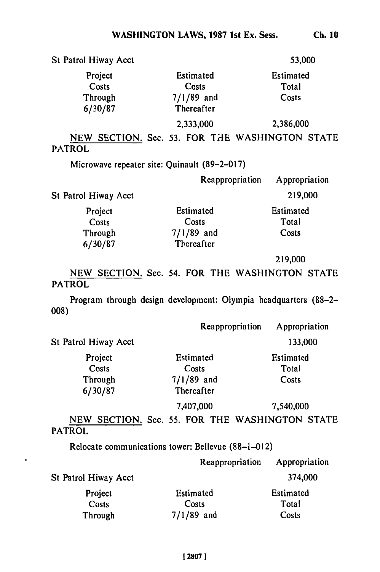| St Patrol Hiway Acct |              | 53,000    |
|----------------------|--------------|-----------|
| Project              | Estimated    | Estimated |
| Costs                | Costs        | Total     |
| Through              | $7/1/89$ and | Costs     |
| 6/30/87              | Thereafter   |           |
|                      | 2,333,000    | 2,386,000 |

NEW SECTION. Sec. **53.** FOR **THE** WASHINGTON **STATE** PATROL

Microwave repeater site: Quinault (89-2-017)

|                      | Reappropriation | Appropriation |
|----------------------|-----------------|---------------|
| St Patrol Hiway Acct |                 | 219,000       |
| Project              | Estimated       | Estimated     |
| Costs                | Costs           | Total         |
| Through              | $7/1/89$ and    | Costs         |
| 6/30/87              | Thereafter      |               |

**219,000**

**NEW** SECTION. Sec. 54. FOR THE WASHINGTON **STATE** PATROL

Program through design development: Olympia headquarters **(88-2- 008)**

|                      | Reappropriation | Appropriation |
|----------------------|-----------------|---------------|
| St Patrol Hiway Acct |                 | 133,000       |
| Project              | Estimated       | Estimated     |
| Costs                | Costs           | Total         |
| Through              | $7/1/89$ and    | Costs         |
| 6/30/87              | Thereafter      |               |
|                      | 7,407,000       | 7,540,000     |

**NEW SECTION.** Sec. **55.** FOR THE WASHINGTON **STATE** PATROL

Relocate communications tower: Bellevue (88-1-012)

|                      | Reappropriation | Appropriation |
|----------------------|-----------------|---------------|
| St Patrol Hiway Acct |                 | 374,000       |
| Project              | Estimated       | Estimated     |
| Costs                | Costs           | Total         |
| Through              | $7/1/89$ and    | Costs         |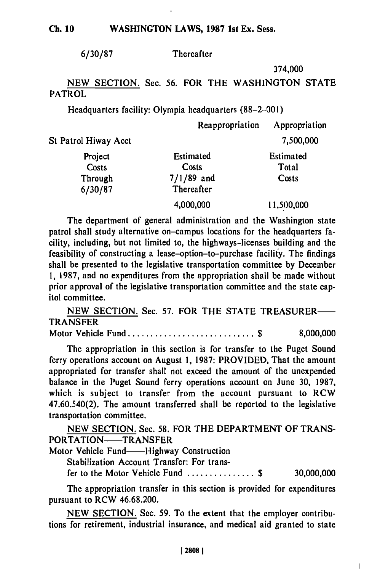#### **WASHINGTON** LAWS, **1987 1st** Ex. Sess. **Ch. 10**

**6/30/87** Thereafter

374,000

# **NEW** SECTION. Sec. 56. FOR THE WASHINGTON STATE PATROL

Headquarters facility: Olympia headquarters (88-2-001)

|                      | Reappropriation | Appropriation |
|----------------------|-----------------|---------------|
| St Patrol Hiway Acct |                 | 7,500,000     |
| Project              | Estimated       | Estimated     |
| Costs                | Costs           | Total         |
| Through              | $7/1/89$ and    | Costs         |
| 6/30/87              | Thereafter      |               |
|                      | 4,000,000       | 11,500,000    |

The department of general administration and the Washington state patrol shall study alternative on-campus locations for the headquarters facility, including, but not limited to, the highways-licenses building and the feasibility of constructing a lease-option-to-purchase facility. The findings shall be presented to the legislative transportation committee **by** December **1, 1987,** and no expenditures from the appropriation shall be made without prior approval of the legislative transportation committee and the state capitol committee.

NEW SECTION. Sec. **57.** FOR THE STATE TREASURER-TRANSFER

Motor Vehicle Fund ............................ **\$** 8,000,000

The appropriation in this section is for transfer to the Puget Sound ferry operations account on August **1, 1987:** PROVIDED, That the amount appropriated for transfer shall not exceed the amount of the unexpended balance in the Puget Sound ferry operations account on June **30,** 1987, which is subject to transfer from the account pursuant to RCW 47.60.540(2). The amount transferred shall be reported to the legislative transportation committee.

NEW SECTION. Sec. **58.** FOR THE DEPARTMENT OF TRANS-PORTATION-TRANSFER

Motor Vehicle Fund——Highway Construction

Stabilization Account Transfer: For transfer to the Motor Vehicle Fund ............... **\$** 30,000,000

 $\overline{\phantom{a}}$ 

The appropriation transfer in this section is provided for expenditures pursuant to RCW 46.68.200.

NEW SECTION. Sec. 59. To the extent that the employer contributions for retirement, industrial insurance, and medical aid granted to state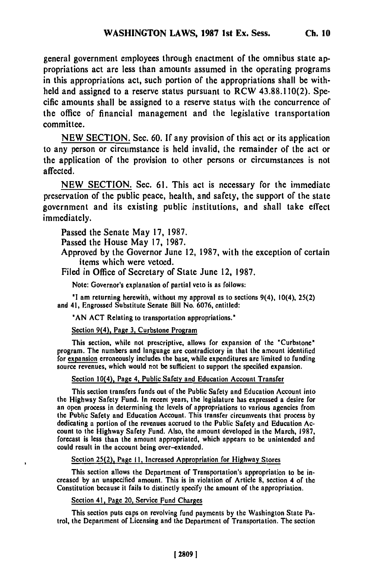general government employees through enactment of the omnibus state appropriations act are less than amounts assumed in the operating programs in this appropriations act, such portion of the appropriations shall be withheld and assigned to a reserve status pursuant to RCW **43.88.110(2).** Specific amounts shall be assigned to a reserve status with the concurrence of the office of financial management and the legislative transportation committee.

**NEW** SECTION. Sec. **60. If** any provision of this act or its application to any person or circumstance is held invalid, the remainder of the act or the application of the provision to other persons or circumstances is not affected.

**NEW SECTION.** Sec. **61.** This act is necessary for the immediate preservation of the public peace, health, and safety, the support of the state government and its existing public institutions, and shall take effect immediately.

Passed the Senate May **17, 1987.**

Passed the House May **17, 1987.**

Approved **by** the Governor June 12, **1987,** with the exception of certain items which were vetoed.

Filed in Office of Secretary of State June 12, **1987.**

Note: Governor's explanation of partial veto is as follows:

**'I** am returning herewith, without my approval as to sections 9(4), 10(4), **25(2)** and 41, Engrossed Substitute Senate Bill No. **6076,** entitled:

**'AN ACT** Relating to transportation appropriations."

Section 9(4), Page **3,** Curbstone Program

This section, while not prescriptive, allows for expansion of the 'Curbstone' program. The numbers and language are contradictory in that the amount identified for expansion erroneously includes the base, while expenditures **are** limited to funding source revenues, which would not be sufficient to support the specified expansion.

Section 10(4), Page 4, Public Safety and Education Account Transfer

This section transfers funds out of the Public Safety and Education Account into this section transiers funds out of the Public Safety and Education Account into an open process in determining the levels of appropriations to various agencies from<br>the Public Safety and Education Account. This transfer control agencies from the Public Safety and Education Account. This transfer circumvents that process by dedicating a portion of the revenues accrued to the Public Safety and Education Acdedicating a portion of the revenues accrued to the Public Safety and Education Acfount to the Highway Salety Fund. Also, the amount developed in the March, 1987,<br>concert is less than the amount appropriated, which appears to be unintended and forecast is less than the amount appropriated, which appears to be unintended and could result in the account being over-extended.

Section **25(2),** Page **II,** Increased Appropriation for Highway Stores

This section allows the Department of Transportation's appropriation to be increased **by** an unspecified amount. This is in violation of Article **8,** section 4 of the creased by an unspecified amount. This is in violation of Article 8, section 4 of the Constitution because it fails to distinctly specify the amount of the appropriation.

Section 41, Page 20, Service Fund Charges

This section puts caps on revolving fund payments **by** the Washington State Patrol, the Department of Licensing and the Department of Transportation. The section